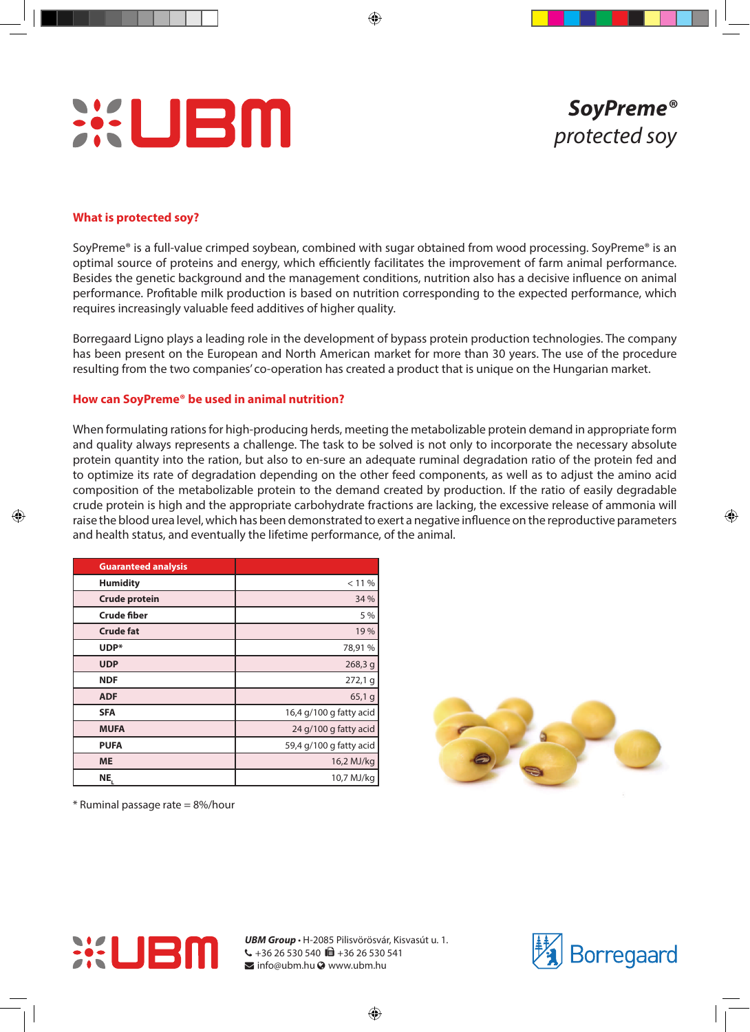

## **What is protected soy?**

SoyPreme® is a full-value crimped soybean, combined with sugar obtained from wood processing. SoyPreme® is an optimal source of proteins and energy, which efficiently facilitates the improvement of farm animal performance. Besides the genetic background and the management conditions, nutrition also has a decisive influence on animal performance. Profitable milk production is based on nutrition corresponding to the expected performance, which requires increasingly valuable feed additives of higher quality.

Borregaard Ligno plays a leading role in the development of bypass protein production technologies. The company has been present on the European and North American market for more than 30 years. The use of the procedure resulting from the two companies' co-operation has created a product that is unique on the Hungarian market.

### **How can SoyPreme® be used in animal nutrition?**

When formulating rations for high-producing herds, meeting the metabolizable protein demand in appropriate form and quality always represents a challenge. The task to be solved is not only to incorporate the necessary absolute protein quantity into the ration, but also to en-sure an adequate ruminal degradation ratio of the protein fed and to optimize its rate of degradation depending on the other feed components, as well as to adjust the amino acid composition of the metabolizable protein to the demand created by production. If the ratio of easily degradable crude protein is high and the appropriate carbohydrate fractions are lacking, the excessive release of ammonia will raise the blood urea level, which has been demonstrated to exert a negative influence on the reproductive parameters and health status, and eventually the lifetime performance, of the animal.

| <b>Guaranteed analysis</b> |                         |
|----------------------------|-------------------------|
| <b>Humidity</b>            | < 11 %                  |
| <b>Crude protein</b>       | 34 %                    |
| <b>Crude fiber</b>         | 5 %                     |
| <b>Crude fat</b>           | 19%                     |
| UDP*                       | 78,91%                  |
| <b>UDP</b>                 | 268,3q                  |
| <b>NDF</b>                 | 272,19                  |
| <b>ADF</b>                 | 65,19                   |
| <b>SFA</b>                 | 16,4 g/100 g fatty acid |
| <b>MUFA</b>                | 24 g/100 g fatty acid   |
| <b>PUFA</b>                | 59,4 g/100 g fatty acid |
| <b>ME</b>                  | 16,2 MJ/kg              |
| NE <sub>,</sub>            | 10,7 MJ/kg              |



 $*$  Ruminal passage rate = 8%/hour



*UBM Group* • H-2085 Pilisvörösvár, Kisvasút u. 1.  $\leftarrow$  +36 26 530 540  $\blacksquare$  +36 26 530 541  $\blacktriangleright$  info@ubm.hu  $\odot$  www.ubm.hu

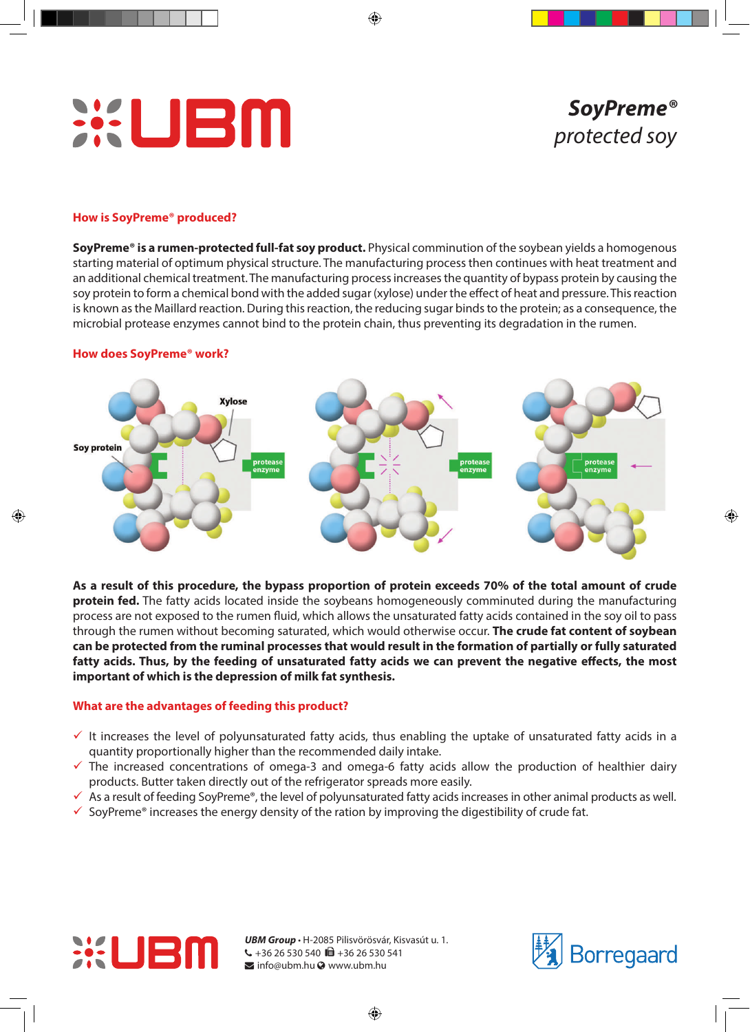

# *SoyPreme® protected soy*

## **How is SoyPreme® produced?**

**SoyPreme® is a rumen-protected full-fat soy product.** Physical comminution of the soybean yields a homogenous starting material of optimum physical structure. The manufacturing process then continues with heat treatment and an additional chemical treatment. The manufacturing process increases the quantity of bypass protein by causing the soy protein to form a chemical bond with the added sugar (xylose) under the effect of heat and pressure. This reaction is known as the Maillard reaction. During this reaction, the reducing sugar binds to the protein; as a consequence, the microbial protease enzymes cannot bind to the protein chain, thus preventing its degradation in the rumen.

### **How does SoyPreme® work?**



**As a result of this procedure, the bypass proportion of protein exceeds 70% of the total amount of crude protein fed.** The fatty acids located inside the soybeans homogeneously comminuted during the manufacturing process are not exposed to the rumen fluid, which allows the unsaturated fatty acids contained in the soy oil to pass through the rumen without becoming saturated, which would otherwise occur. **The crude fat content of soybean can be protected from the ruminal processes that would result in the formation of partially or fully saturated fatty acids. Thus, by the feeding of unsaturated fatty acids we can prevent the negative effects, the most important of which is the depression of milk fat synthesis.**

# **What are the advantages of feeding this product?**

- It increases the level of polyunsaturated fatty acids, thus enabling the uptake of unsaturated fatty acids in a quantity proportionally higher than the recommended daily intake.
- $\checkmark$  The increased concentrations of omega-3 and omega-6 fatty acids allow the production of healthier dairy products. Butter taken directly out of the refrigerator spreads more easily.
- $\checkmark$  As a result of feeding SoyPreme®, the level of polyunsaturated fatty acids increases in other animal products as well.
- $\checkmark$  SoyPreme® increases the energy density of the ration by improving the digestibility of crude fat.



*UBM Group* • H-2085 Pilisvörösvár, Kisvasút u. 1.  $\leftarrow$  +36 26 530 540 **m** +36 26 530 541  $\blacktriangleright$  info@ubm.hu  $\odot$  www.ubm.hu

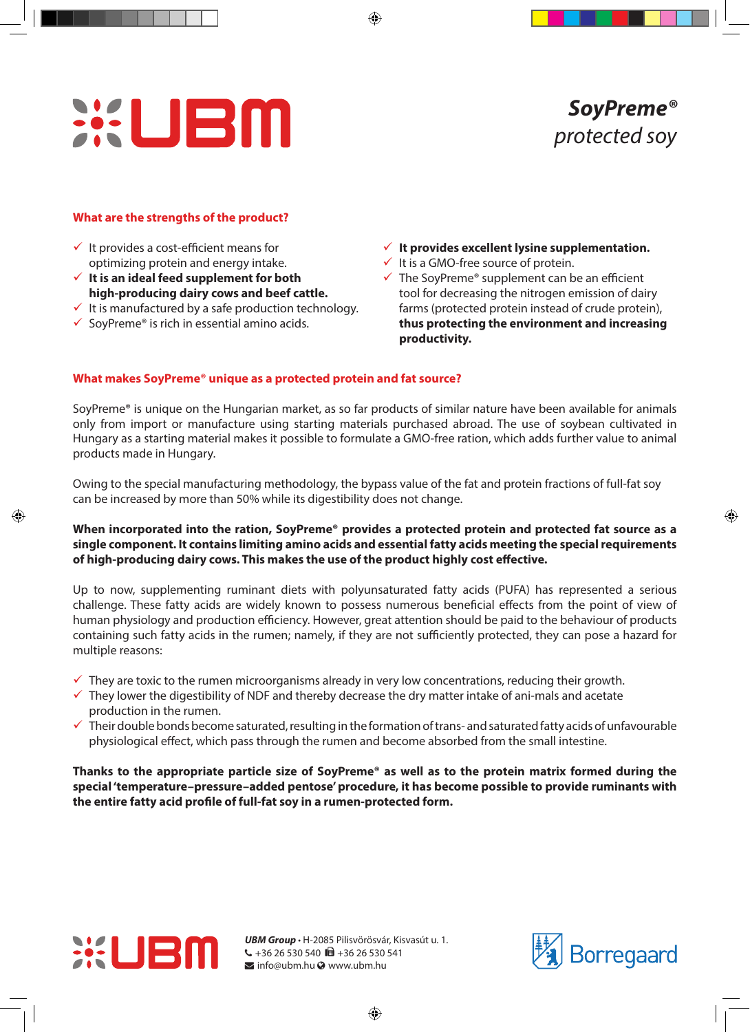# **WEM**

# **What are the strengths of the product?**

- $\checkmark$  It provides a cost-efficient means for optimizing protein and energy intake.
- **It is an ideal feed supplement for both high-producing dairy cows and beef cattle.**
- $\checkmark$  It is manufactured by a safe production technology.
- $\checkmark$  SoyPreme® is rich in essential amino acids.
- **It provides excellent lysine supplementation.**
- $\checkmark$  It is a GMO-free source of protein.
- $\checkmark$  The SoyPreme® supplement can be an efficient tool for decreasing the nitrogen emission of dairy farms (protected protein instead of crude protein), **thus protecting the environment and increasing productivity.**

# **What makes SoyPreme® unique as a protected protein and fat source?**

SoyPreme® is unique on the Hungarian market, as so far products of similar nature have been available for animals only from import or manufacture using starting materials purchased abroad. The use of soybean cultivated in Hungary as a starting material makes it possible to formulate a GMO-free ration, which adds further value to animal products made in Hungary.

Owing to the special manufacturing methodology, the bypass value of the fat and protein fractions of full-fat soy can be increased by more than 50% while its digestibility does not change.

# **When incorporated into the ration, SoyPreme® provides a protected protein and protected fat source as a single component. It contains limiting amino acids and essential fatty acids meeting the special requirements of high-producing dairy cows. This makes the use of the product highly cost effective.**

Up to now, supplementing ruminant diets with polyunsaturated fatty acids (PUFA) has represented a serious challenge. These fatty acids are widely known to possess numerous beneficial effects from the point of view of human physiology and production efficiency. However, great attention should be paid to the behaviour of products containing such fatty acids in the rumen; namely, if they are not sufficiently protected, they can pose a hazard for multiple reasons:

- $\checkmark$  They are toxic to the rumen microorganisms already in very low concentrations, reducing their growth.
- $\checkmark$  They lower the digestibility of NDF and thereby decrease the dry matter intake of ani-mals and acetate production in the rumen.
- $\checkmark$  Their double bonds become saturated, resulting in the formation of trans- and saturated fatty acids of unfavourable physiological effect, which pass through the rumen and become absorbed from the small intestine.

**Thanks to the appropriate particle size of SoyPreme® as well as to the protein matrix formed during the special 'temperature–pressure–added pentose' procedure, it has become possible to provide ruminants with the entire fatty acid profile of full-fat soy in a rumen-protected form.**